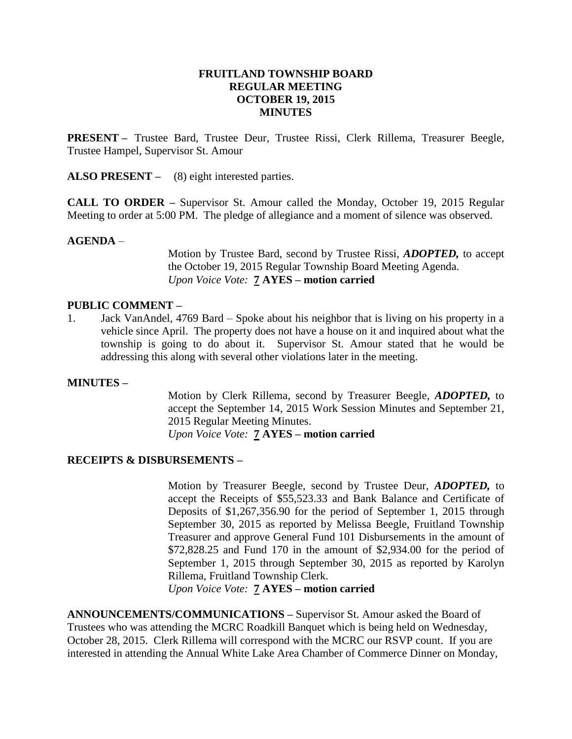### **FRUITLAND TOWNSHIP BOARD REGULAR MEETING OCTOBER 19, 2015 MINUTES**

**PRESENT –** Trustee Bard, Trustee Deur, Trustee Rissi, Clerk Rillema, Treasurer Beegle, Trustee Hampel, Supervisor St. Amour

**ALSO PRESENT –** (8) eight interested parties.

**CALL TO ORDER –** Supervisor St. Amour called the Monday, October 19, 2015 Regular Meeting to order at 5:00 PM. The pledge of allegiance and a moment of silence was observed.

### **AGENDA** –

Motion by Trustee Bard, second by Trustee Rissi, *ADOPTED,* to accept the October 19, 2015 Regular Township Board Meeting Agenda. *Upon Voice Vote:* **7 AYES – motion carried**

#### **PUBLIC COMMENT –**

1. Jack VanAndel, 4769 Bard – Spoke about his neighbor that is living on his property in a vehicle since April. The property does not have a house on it and inquired about what the township is going to do about it. Supervisor St. Amour stated that he would be addressing this along with several other violations later in the meeting.

#### **MINUTES –**

Motion by Clerk Rillema, second by Treasurer Beegle, *ADOPTED,* to accept the September 14, 2015 Work Session Minutes and September 21, 2015 Regular Meeting Minutes. *Upon Voice Vote:* **7 AYES – motion carried**

#### **RECEIPTS & DISBURSEMENTS –**

Motion by Treasurer Beegle, second by Trustee Deur, *ADOPTED,* to accept the Receipts of \$55,523.33 and Bank Balance and Certificate of Deposits of \$1,267,356.90 for the period of September 1, 2015 through September 30, 2015 as reported by Melissa Beegle, Fruitland Township Treasurer and approve General Fund 101 Disbursements in the amount of \$72,828.25 and Fund 170 in the amount of \$2,934.00 for the period of September 1, 2015 through September 30, 2015 as reported by Karolyn Rillema, Fruitland Township Clerk.

*Upon Voice Vote:* **7 AYES – motion carried**

**ANNOUNCEMENTS/COMMUNICATIONS –** Supervisor St. Amour asked the Board of Trustees who was attending the MCRC Roadkill Banquet which is being held on Wednesday, October 28, 2015. Clerk Rillema will correspond with the MCRC our RSVP count. If you are interested in attending the Annual White Lake Area Chamber of Commerce Dinner on Monday,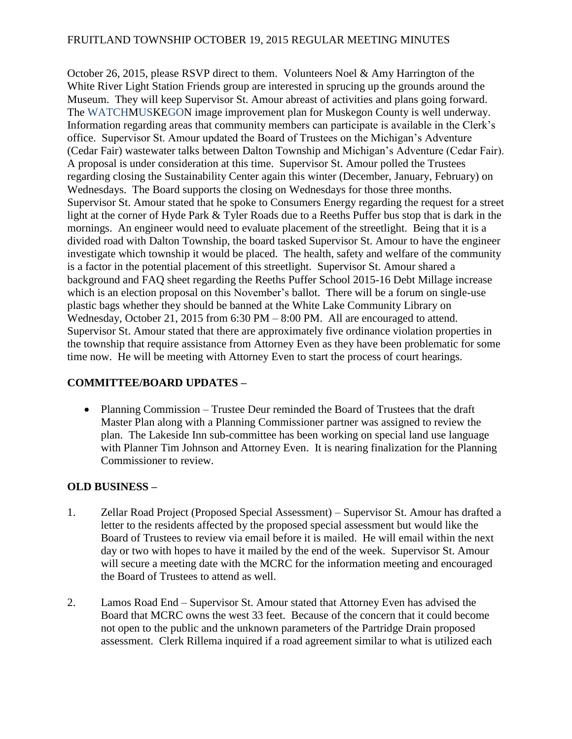## FRUITLAND TOWNSHIP OCTOBER 19, 2015 REGULAR MEETING MINUTES

October 26, 2015, please RSVP direct to them. Volunteers Noel & Amy Harrington of the White River Light Station Friends group are interested in sprucing up the grounds around the Museum. They will keep Supervisor St. Amour abreast of activities and plans going forward. The WATCHMUSKEGON image improvement plan for Muskegon County is well underway. Information regarding areas that community members can participate is available in the Clerk's office. Supervisor St. Amour updated the Board of Trustees on the Michigan's Adventure (Cedar Fair) wastewater talks between Dalton Township and Michigan's Adventure (Cedar Fair). A proposal is under consideration at this time. Supervisor St. Amour polled the Trustees regarding closing the Sustainability Center again this winter (December, January, February) on Wednesdays. The Board supports the closing on Wednesdays for those three months. Supervisor St. Amour stated that he spoke to Consumers Energy regarding the request for a street light at the corner of Hyde Park & Tyler Roads due to a Reeths Puffer bus stop that is dark in the mornings. An engineer would need to evaluate placement of the streetlight. Being that it is a divided road with Dalton Township, the board tasked Supervisor St. Amour to have the engineer investigate which township it would be placed. The health, safety and welfare of the community is a factor in the potential placement of this streetlight. Supervisor St. Amour shared a background and FAQ sheet regarding the Reeths Puffer School 2015-16 Debt Millage increase which is an election proposal on this November's ballot. There will be a forum on single-use plastic bags whether they should be banned at the White Lake Community Library on Wednesday, October 21, 2015 from 6:30 PM – 8:00 PM. All are encouraged to attend. Supervisor St. Amour stated that there are approximately five ordinance violation properties in the township that require assistance from Attorney Even as they have been problematic for some time now. He will be meeting with Attorney Even to start the process of court hearings.

# **COMMITTEE/BOARD UPDATES –**

• Planning Commission – Trustee Deur reminded the Board of Trustees that the draft Master Plan along with a Planning Commissioner partner was assigned to review the plan. The Lakeside Inn sub-committee has been working on special land use language with Planner Tim Johnson and Attorney Even. It is nearing finalization for the Planning Commissioner to review.

#### **OLD BUSINESS –**

- 1. Zellar Road Project (Proposed Special Assessment) Supervisor St. Amour has drafted a letter to the residents affected by the proposed special assessment but would like the Board of Trustees to review via email before it is mailed. He will email within the next day or two with hopes to have it mailed by the end of the week. Supervisor St. Amour will secure a meeting date with the MCRC for the information meeting and encouraged the Board of Trustees to attend as well.
- 2. Lamos Road End Supervisor St. Amour stated that Attorney Even has advised the Board that MCRC owns the west 33 feet. Because of the concern that it could become not open to the public and the unknown parameters of the Partridge Drain proposed assessment. Clerk Rillema inquired if a road agreement similar to what is utilized each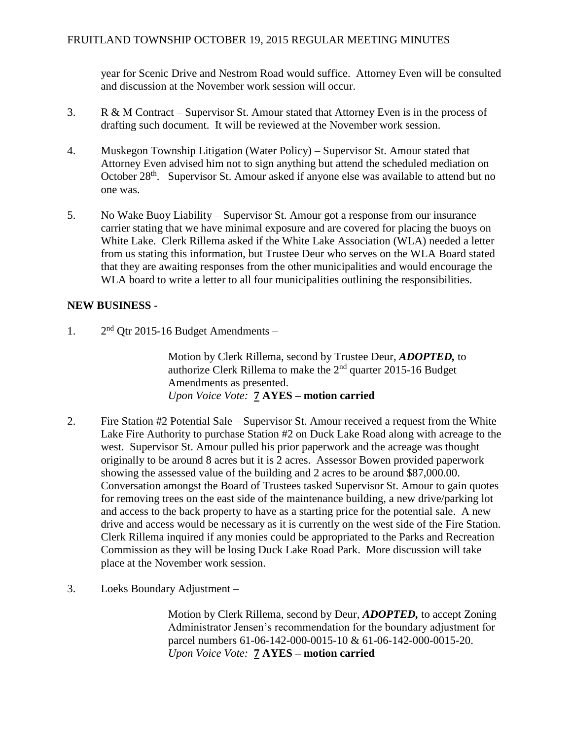year for Scenic Drive and Nestrom Road would suffice. Attorney Even will be consulted and discussion at the November work session will occur.

- 3. R & M Contract Supervisor St. Amour stated that Attorney Even is in the process of drafting such document. It will be reviewed at the November work session.
- 4. Muskegon Township Litigation (Water Policy) Supervisor St. Amour stated that Attorney Even advised him not to sign anything but attend the scheduled mediation on October 28<sup>th</sup>. Supervisor St. Amour asked if anyone else was available to attend but no one was.
- 5. No Wake Buoy Liability Supervisor St. Amour got a response from our insurance carrier stating that we have minimal exposure and are covered for placing the buoys on White Lake. Clerk Rillema asked if the White Lake Association (WLA) needed a letter from us stating this information, but Trustee Deur who serves on the WLA Board stated that they are awaiting responses from the other municipalities and would encourage the WLA board to write a letter to all four municipalities outlining the responsibilities.

### **NEW BUSINESS -**

 $1<sup>2</sup>$  $2<sup>nd</sup>$  Otr 2015-16 Budget Amendments –

> Motion by Clerk Rillema, second by Trustee Deur, *ADOPTED,* to authorize Clerk Rillema to make the 2nd quarter 2015-16 Budget Amendments as presented. *Upon Voice Vote:* **7 AYES – motion carried**

- 2. Fire Station #2 Potential Sale Supervisor St. Amour received a request from the White Lake Fire Authority to purchase Station #2 on Duck Lake Road along with acreage to the west. Supervisor St. Amour pulled his prior paperwork and the acreage was thought originally to be around 8 acres but it is 2 acres. Assessor Bowen provided paperwork showing the assessed value of the building and 2 acres to be around \$87,000.00. Conversation amongst the Board of Trustees tasked Supervisor St. Amour to gain quotes for removing trees on the east side of the maintenance building, a new drive/parking lot and access to the back property to have as a starting price for the potential sale. A new drive and access would be necessary as it is currently on the west side of the Fire Station. Clerk Rillema inquired if any monies could be appropriated to the Parks and Recreation Commission as they will be losing Duck Lake Road Park. More discussion will take place at the November work session.
- 3. Loeks Boundary Adjustment –

Motion by Clerk Rillema, second by Deur, *ADOPTED,* to accept Zoning Administrator Jensen's recommendation for the boundary adjustment for parcel numbers 61-06-142-000-0015-10 & 61-06-142-000-0015-20. *Upon Voice Vote:* **7 AYES – motion carried**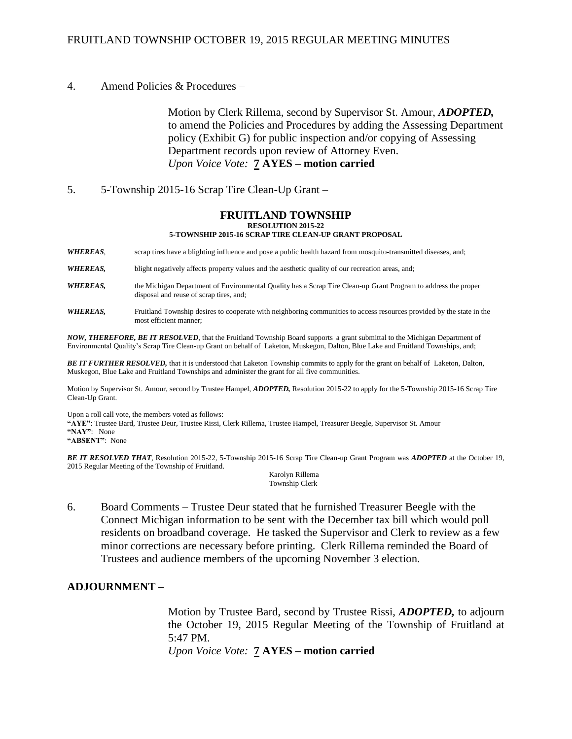#### FRUITLAND TOWNSHIP OCTOBER 19, 2015 REGULAR MEETING MINUTES

#### 4. Amend Policies & Procedures –

Motion by Clerk Rillema, second by Supervisor St. Amour, *ADOPTED,*  to amend the Policies and Procedures by adding the Assessing Department policy (Exhibit G) for public inspection and/or copying of Assessing Department records upon review of Attorney Even. *Upon Voice Vote:* **7 AYES – motion carried**

5. 5-Township 2015-16 Scrap Tire Clean-Up Grant –

#### **FRUITLAND TOWNSHIP RESOLUTION 2015-22 5-TOWNSHIP 2015-16 SCRAP TIRE CLEAN-UP GRANT PROPOSAL**

*WHEREAS*, scrap tires have a blighting influence and pose a public health hazard from mosquito-transmitted diseases, and;

*WHEREAS*, blight negatively affects property values and the aesthetic quality of our recreation areas, and;

*WHEREAS,* the Michigan Department of Environmental Quality has a Scrap Tire Clean-up Grant Program to address the proper disposal and reuse of scrap tires, and;

*WHEREAS,* Fruitland Township desires to cooperate with neighboring communities to access resources provided by the state in the most efficient manner;

*NOW, THEREFORE, BE IT RESOLVED*, that the Fruitland Township Board supports a grant submittal to the Michigan Department of Environmental Quality's Scrap Tire Clean-up Grant on behalf of Laketon, Muskegon, Dalton, Blue Lake and Fruitland Townships, and;

*BE IT FURTHER RESOLVED,* that it is understood that Laketon Township commits to apply for the grant on behalf of Laketon, Dalton, Muskegon, Blue Lake and Fruitland Townships and administer the grant for all five communities.

Motion by Supervisor St. Amour, second by Trustee Hampel, *ADOPTED,* Resolution 2015-22 to apply for the 5-Township 2015-16 Scrap Tire Clean-Up Grant.

Upon a roll call vote, the members voted as follows:

**"AYE"**: Trustee Bard, Trustee Deur, Trustee Rissi, Clerk Rillema, Trustee Hampel, Treasurer Beegle, Supervisor St. Amour **"NAY"**: None

**"ABSENT"**: None

*BE IT RESOLVED THAT*, Resolution 2015-22, 5-Township 2015-16 Scrap Tire Clean-up Grant Program was *ADOPTED* at the October 19, 2015 Regular Meeting of the Township of Fruitland.

Karolyn Rillema Township Clerk

6. Board Comments – Trustee Deur stated that he furnished Treasurer Beegle with the Connect Michigan information to be sent with the December tax bill which would poll residents on broadband coverage. He tasked the Supervisor and Clerk to review as a few minor corrections are necessary before printing. Clerk Rillema reminded the Board of Trustees and audience members of the upcoming November 3 election.

#### **ADJOURNMENT –**

Motion by Trustee Bard, second by Trustee Rissi, *ADOPTED,* to adjourn the October 19, 2015 Regular Meeting of the Township of Fruitland at 5:47 PM.

*Upon Voice Vote:* **7 AYES – motion carried**